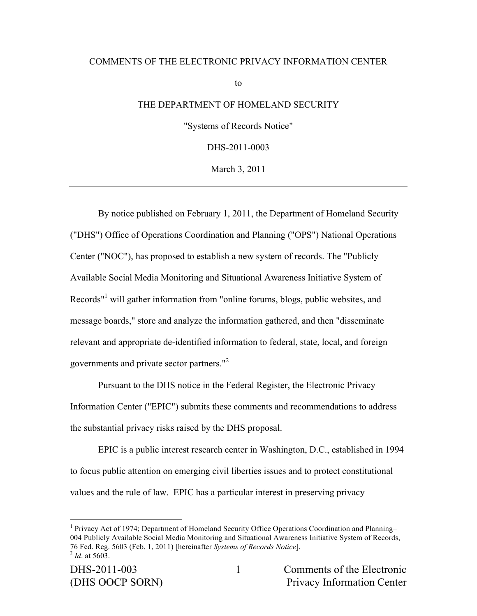#### COMMENTS OF THE ELECTRONIC PRIVACY INFORMATION CENTER

to

### THE DEPARTMENT OF HOMELAND SECURITY

"Systems of Records Notice"

DHS-2011-0003

March 3, 2011

By notice published on February 1, 2011, the Department of Homeland Security ("DHS") Office of Operations Coordination and Planning ("OPS") National Operations Center ("NOC"), has proposed to establish a new system of records. The "Publicly Available Social Media Monitoring and Situational Awareness Initiative System of Records"<sup>1</sup> will gather information from "online forums, blogs, public websites, and message boards," store and analyze the information gathered, and then "disseminate relevant and appropriate de-identified information to federal, state, local, and foreign governments and private sector partners."<sup>2</sup>

Pursuant to the DHS notice in the Federal Register, the Electronic Privacy Information Center ("EPIC") submits these comments and recommendations to address the substantial privacy risks raised by the DHS proposal.

EPIC is a public interest research center in Washington, D.C., established in 1994 to focus public attention on emerging civil liberties issues and to protect constitutional values and the rule of law. EPIC has a particular interest in preserving privacy

 $\frac{1}{1}$ <sup>1</sup> Privacy Act of 1974; Department of Homeland Security Office Operations Coordination and Planning– 004 Publicly Available Social Media Monitoring and Situational Awareness Initiative System of Records, 76 Fed. Reg. 5603 (Feb. 1, 2011) [hereinafter *Systems of Records Notice*]. <sup>2</sup> *Id*. at 5603.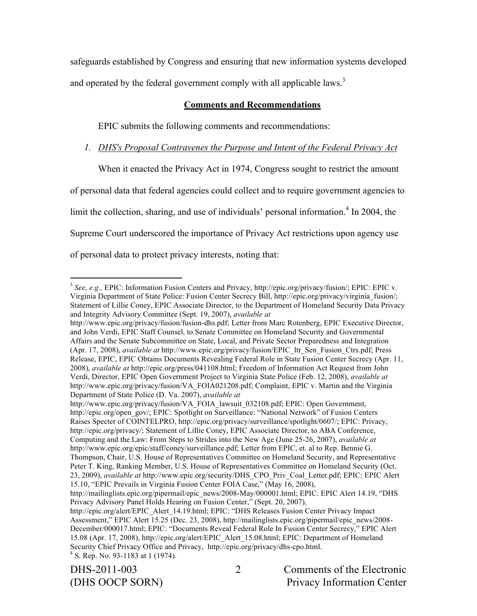safeguards established by Congress and ensuring that new information systems developed and operated by the federal government comply with all applicable laws.<sup>3</sup>

# **Comments and Recommendations**

EPIC submits the following comments and recommendations:

*1. DHS's Proposal Contravenes the Purpose and Intent of the Federal Privacy Act*

When it enacted the Privacy Act in 1974, Congress sought to restrict the amount of personal data that federal agencies could collect and to require government agencies to limit the collection, sharing, and use of individuals' personal information.<sup>4</sup> In 2004, the Supreme Court underscored the importance of Privacy Act restrictions upon agency use of personal data to protect privacy interests, noting that:

http://www.epic.org/privacy/fusion/VA\_FOIA\_lawsuit\_032108.pdf; EPIC: Open Government, http://epic.org/open\_gov/; EPIC: Spotlight on Surveillance: "National Network" of Fusion Centers Raises Specter of COINTELPRO, http://epic.org/privacy/surveillance/spotlight/0607/; EPIC: Privacy, http://epic.org/privacy/; Statement of Lillie Coney, EPIC Associate Director, to ABA Conference, Computing and the Law: From Steps to Strides into the New Age (June 25-26, 2007), *available at*  http://www.epic.org/epic/staff/coney/surveillance.pdf; Letter from EPIC, et. al to Rep. Bennie G. Thompson, Chair, U.S. House of Representatives Committee on Homeland Security, and Representative Peter T. King, Ranking Member, U.S. House of Representatives Committee on Homeland Security (Oct. 23, 2009), *available at* http://www.epic.org/security/DHS\_CPO\_Priv\_Coal\_Letter.pdf; EPIC: EPIC Alert 15.10, "EPIC Prevails in Virginia Fusion Center FOIA Case," (May 16, 2008),

DHS-2011-003 Comments of the Electronic (DHS OOCP SORN) Privacy Information Center

<sup>&</sup>lt;sup>3</sup> See, e.g., **EPIC:** Information Fusion Centers and Privacy, http://epic.org/privacy/fusion/; **EPIC: EPIC v.** Virginia Department of State Police: Fusion Center Secrecy Bill, http://epic.org/privacy/virginia\_fusion/; Statement of Lillie Coney, EPIC Associate Director, to the Department of Homeland Security Data Privacy and Integrity Advisory Committee (Sept. 19, 2007), *available at* 

http://www.epic.org/privacy/fusion/fusion-dhs.pdf; Letter from Marc Rotenberg, EPIC Executive Director, and John Verdi, EPIC Staff Counsel, to Senate Committee on Homeland Security and Governmental Affairs and the Senate Subcommittee on State, Local, and Private Sector Preparedness and Integration (Apr. 17, 2008), *available at* http://www.epic.org/privacy/fusion/EPIC\_ltr\_Sen\_Fusion\_Ctrs.pdf; Press Release, EPIC, EPIC Obtains Documents Revealing Federal Role in State Fusion Center Secrecy (Apr. 11, 2008), *available at* http://epic.org/press/041108.html; Freedom of Information Act Request from John Verdi, Director, EPIC Open Government Project to Virginia State Police (Feb. 12, 2008), *available at*  http://www.epic.org/privacy/fusion/VA\_FOIA021208.pdf; Complaint, EPIC v. Martin and the Virginia Department of State Police (D. Va. 2007), *available at* 

http://mailinglists.epic.org/pipermail/epic\_news/2008-May/000001.html; EPIC: EPIC Alert 14.19, "DHS Privacy Advisory Panel Holds Hearing on Fusion Center," (Sept. 20, 2007),

http://epic.org/alert/EPIC\_Alert\_14.19.html; EPIC: "DHS Releases Fusion Center Privacy Impact Assessment," EPIC Alert 15.25 (Dec. 23, 2008), http://mailinglists.epic.org/pipermail/epic\_news/2008- December/000017.html; EPIC: "Documents Reveal Federal Role In Fusion Center Secrecy," EPIC Alert 15.08 (Apr. 17, 2008), http://epic.org/alert/EPIC\_Alert\_15.08.html; EPIC: Department of Homeland Security Chief Privacy Office and Privacy, http://epic.org/privacy/dhs-cpo.html. <sup>4</sup>  $4$  S. Rep. No. 93-1183 at 1 (1974).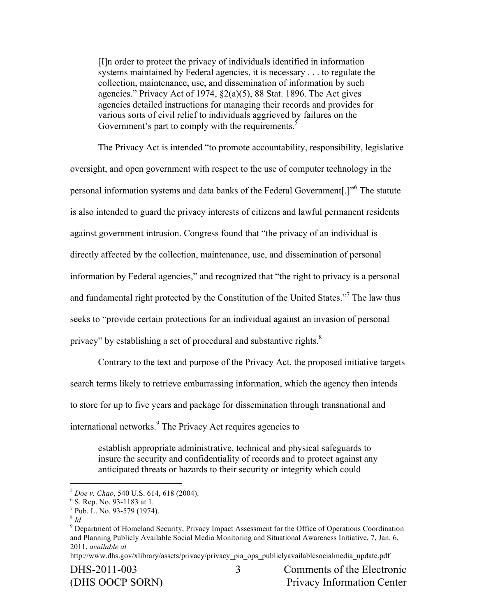[I]n order to protect the privacy of individuals identified in information systems maintained by Federal agencies, it is necessary . . . to regulate the collection, maintenance, use, and dissemination of information by such agencies." Privacy Act of 1974, §2(a)(5), 88 Stat. 1896. The Act gives agencies detailed instructions for managing their records and provides for various sorts of civil relief to individuals aggrieved by failures on the Government's part to comply with the requirements. $5$ 

The Privacy Act is intended "to promote accountability, responsibility, legislative oversight, and open government with respect to the use of computer technology in the personal information systems and data banks of the Federal Government[.]"6 The statute is also intended to guard the privacy interests of citizens and lawful permanent residents against government intrusion. Congress found that "the privacy of an individual is directly affected by the collection, maintenance, use, and dissemination of personal information by Federal agencies," and recognized that "the right to privacy is a personal and fundamental right protected by the Constitution of the United States."<sup>7</sup> The law thus seeks to "provide certain protections for an individual against an invasion of personal privacy" by establishing a set of procedural and substantive rights. $8$ 

Contrary to the text and purpose of the Privacy Act, the proposed initiative targets search terms likely to retrieve embarrassing information, which the agency then intends to store for up to five years and package for dissemination through transnational and international networks.<sup>9</sup> The Privacy Act requires agencies to

establish appropriate administrative, technical and physical safeguards to insure the security and confidentiality of records and to protect against any anticipated threats or hazards to their security or integrity which could

 $5$  *Doe v. Chao*, 540 U.S. 614, 618 (2004).

 $^{6}$  S. Rep. No. 93-1183 at 1.<br><sup>7</sup> Pub. L. No. 93-579 (1974).

<sup>&</sup>lt;sup>8</sup> *Id.* 9 Department of Homeland Security, Privacy Impact Assessment for the Office of Operations Coordination and Planning Publicly Available Social Media Monitoring and Situational Awareness Initiative, 7, Jan. 6, 2011, *available at*

http://www.dhs.gov/xlibrary/assets/privacy/privacy\_pia\_ops\_publiclyavailablesocialmedia\_update.pdf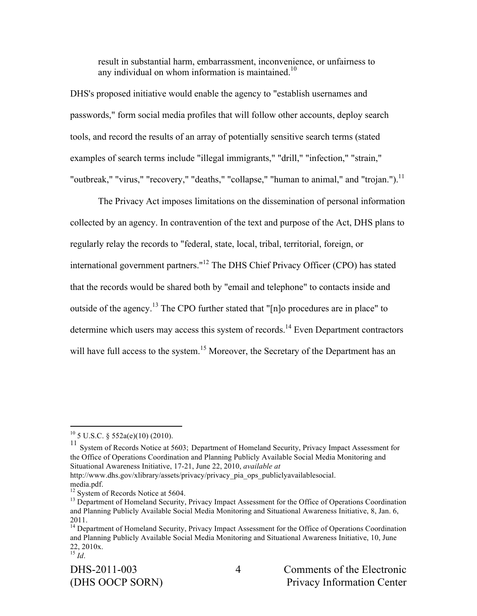result in substantial harm, embarrassment, inconvenience, or unfairness to any individual on whom information is maintained.<sup>10</sup>

DHS's proposed initiative would enable the agency to "establish usernames and passwords," form social media profiles that will follow other accounts, deploy search tools, and record the results of an array of potentially sensitive search terms (stated examples of search terms include "illegal immigrants," "drill," "infection," "strain," "outbreak," "virus," "recovery," "deaths," "collapse," "human to animal," and "trojan.").<sup>11</sup>

The Privacy Act imposes limitations on the dissemination of personal information collected by an agency. In contravention of the text and purpose of the Act, DHS plans to regularly relay the records to "federal, state, local, tribal, territorial, foreign, or international government partners."12 The DHS Chief Privacy Officer (CPO) has stated that the records would be shared both by "email and telephone" to contacts inside and outside of the agency.13 The CPO further stated that "[n]o procedures are in place" to determine which users may access this system of records.<sup>14</sup> Even Department contractors will have full access to the system.<sup>15</sup> Moreover, the Secretary of the Department has an

<sup>10</sup> 5 U.S.C. § 552a(e)(10) (2010).<br><sup>11</sup> System of Records Notice at 5603; Department of Homeland Security, Privacy Impact Assessment for the Office of Operations Coordination and Planning Publicly Available Social Media Monitoring and Situational Awareness Initiative, 17-21, June 22, 2010, *available at*

http://www.dhs.gov/xlibrary/assets/privacy/privacy\_pia\_ops\_publiclyavailablesocial. media.pdf.<br><sup>12</sup> System of Records Notice at 5604.

<sup>&</sup>lt;sup>13</sup> Department of Homeland Security, Privacy Impact Assessment for the Office of Operations Coordination and Planning Publicly Available Social Media Monitoring and Situational Awareness Initiative, 8, Jan. 6, 2011.

<sup>&</sup>lt;sup>14</sup> Department of Homeland Security, Privacy Impact Assessment for the Office of Operations Coordination and Planning Publicly Available Social Media Monitoring and Situational Awareness Initiative, 10, June 22, 2010x. <sup>15</sup> *Id*.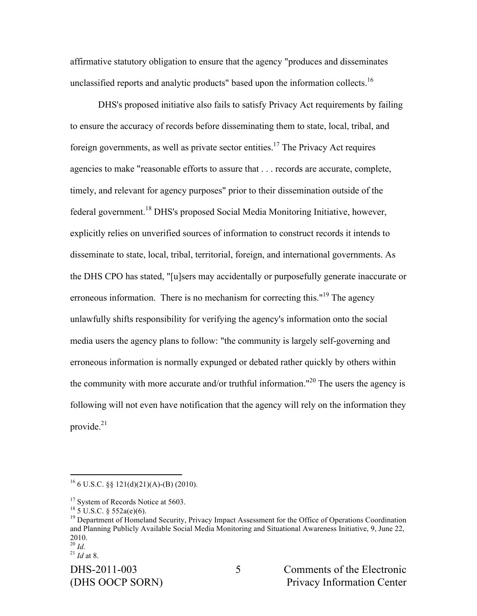affirmative statutory obligation to ensure that the agency "produces and disseminates unclassified reports and analytic products" based upon the information collects.<sup>16</sup>

DHS's proposed initiative also fails to satisfy Privacy Act requirements by failing to ensure the accuracy of records before disseminating them to state, local, tribal, and foreign governments, as well as private sector entities.<sup>17</sup> The Privacy Act requires agencies to make "reasonable efforts to assure that . . . records are accurate, complete, timely, and relevant for agency purposes" prior to their dissemination outside of the federal government.<sup>18</sup> DHS's proposed Social Media Monitoring Initiative, however, explicitly relies on unverified sources of information to construct records it intends to disseminate to state, local, tribal, territorial, foreign, and international governments. As the DHS CPO has stated, "[u]sers may accidentally or purposefully generate inaccurate or erroneous information. There is no mechanism for correcting this."<sup>19</sup> The agency unlawfully shifts responsibility for verifying the agency's information onto the social media users the agency plans to follow: "the community is largely self-governing and erroneous information is normally expunged or debated rather quickly by others within the community with more accurate and/or truthful information."<sup>20</sup> The users the agency is following will not even have notification that the agency will rely on the information they provide. 21

 $16$  6 U.S.C. §§ 121(d)(21)(A)-(B) (2010).

<sup>&</sup>lt;sup>17</sup> System of Records Notice at 5603.<br><sup>18</sup> 5 U.S.C. § 552a(e)(6).

<sup>&</sup>lt;sup>19</sup> Department of Homeland Security, Privacy Impact Assessment for the Office of Operations Coordination and Planning Publicly Available Social Media Monitoring and Situational Awareness Initiative, 9, June 22, 2010. <sup>20</sup> *Id.* <sup>21</sup> *Id* at 8.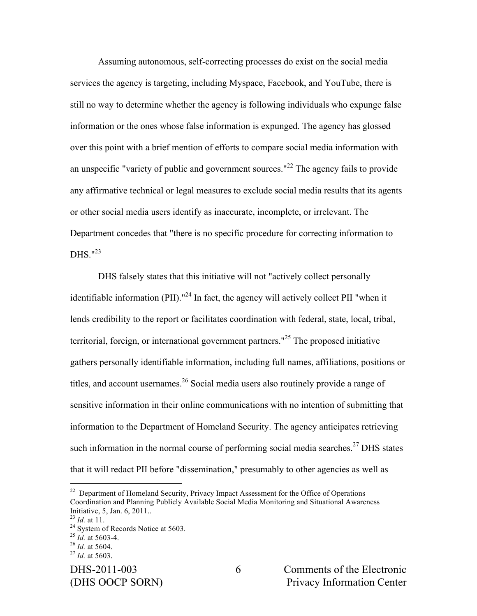Assuming autonomous, self-correcting processes do exist on the social media services the agency is targeting, including Myspace, Facebook, and YouTube, there is still no way to determine whether the agency is following individuals who expunge false information or the ones whose false information is expunged. The agency has glossed over this point with a brief mention of efforts to compare social media information with an unspecific "variety of public and government sources."<sup>22</sup> The agency fails to provide any affirmative technical or legal measures to exclude social media results that its agents or other social media users identify as inaccurate, incomplete, or irrelevant. The Department concedes that "there is no specific procedure for correcting information to DHS. $123$ 

DHS falsely states that this initiative will not "actively collect personally identifiable information (PII)."<sup>24</sup> In fact, the agency will actively collect PII "when it lends credibility to the report or facilitates coordination with federal, state, local, tribal, territorial, foreign, or international government partners."<sup>25</sup> The proposed initiative gathers personally identifiable information, including full names, affiliations, positions or titles, and account usernames.<sup>26</sup> Social media users also routinely provide a range of sensitive information in their online communications with no intention of submitting that information to the Department of Homeland Security. The agency anticipates retrieving such information in the normal course of performing social media searches.<sup>27</sup> DHS states that it will redact PII before "dissemination," presumably to other agencies as well as

 $22$  Department of Homeland Security, Privacy Impact Assessment for the Office of Operations Coordination and Planning Publicly Available Social Media Monitoring and Situational Awareness

<sup>&</sup>lt;sup>23</sup> *Id.* at 11.<br><sup>24</sup> System of Records Notice at 5603.<br><sup>25</sup> *Id.* at 5603-4.<br><sup>26</sup> *Id.* at 5604. <sup>27</sup> *Id.* at 5603.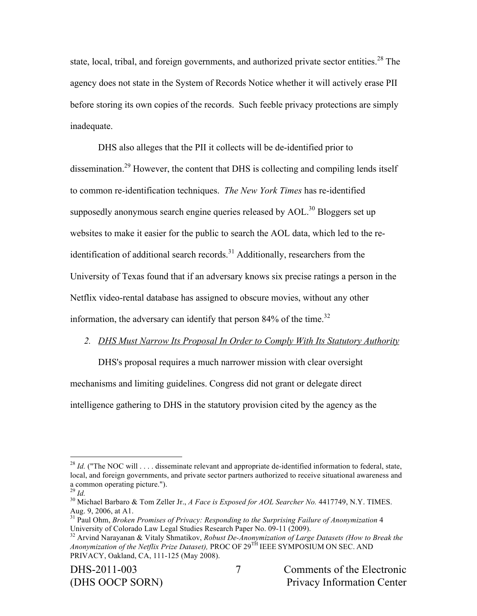state, local, tribal, and foreign governments, and authorized private sector entities.<sup>28</sup> The agency does not state in the System of Records Notice whether it will actively erase PII before storing its own copies of the records. Such feeble privacy protections are simply inadequate.

DHS also alleges that the PII it collects will be de-identified prior to dissemination.29 However, the content that DHS is collecting and compiling lends itself to common re-identification techniques. *The New York Times* has re-identified supposedly anonymous search engine queries released by  $AOL$ <sup>30</sup> Bloggers set up websites to make it easier for the public to search the AOL data, which led to the reidentification of additional search records.<sup>31</sup> Additionally, researchers from the University of Texas found that if an adversary knows six precise ratings a person in the Netflix video-rental database has assigned to obscure movies, without any other information, the adversary can identify that person  $84\%$  of the time.<sup>32</sup>

#### *2. DHS Must Narrow Its Proposal In Order to Comply With Its Statutory Authority*

DHS's proposal requires a much narrower mission with clear oversight mechanisms and limiting guidelines. Congress did not grant or delegate direct intelligence gathering to DHS in the statutory provision cited by the agency as the

 $^{28}$  *Id.* ("The NOC will ... disseminate relevant and appropriate de-identified information to federal, state, local, and foreign governments, and private sector partners authorized to receive situational awareness and

a common operating picture.").<br><sup>29</sup> *Id.* 30<br><sup>30</sup> Michael Barbaro & Tom Zeller Jr., *A Face is Exposed for AOL Searcher No.* 4417749, N.Y. TIMES.<br>Aug. 9, 2006, at A1.

<sup>&</sup>lt;sup>31</sup> Paul Ohm, *Broken Promises of Privacy: Responding to the Surprising Failure of Anonymization* 4<br>University of Colorado Law Legal Studies Research Paper No. 09-11 (2009).

<sup>&</sup>lt;sup>32</sup> Arvind Narayanan & Vitaly Shmatikov, *Robust De-Anonymization of Large Datasets (How to Break the Anonymization of the Netflix Prize Dataset),* PROC OF 29TH IEEE SYMPOSIUM ON SEC. AND PRIVACY, Oakland, CA, 111-125 (May 2008).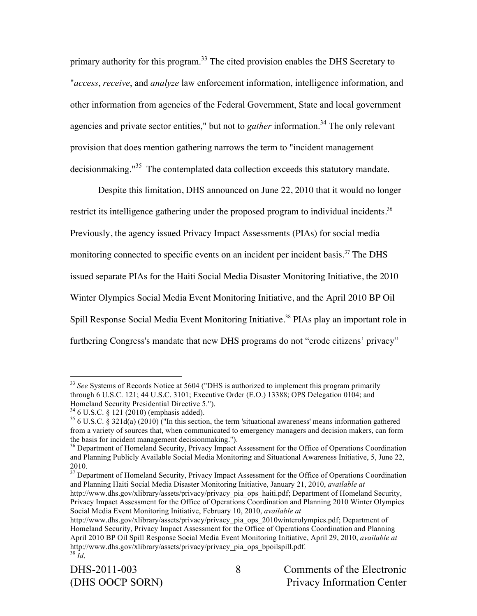primary authority for this program.<sup>33</sup> The cited provision enables the DHS Secretary to "*access*, *receive*, and *analyze* law enforcement information, intelligence information, and other information from agencies of the Federal Government, State and local government agencies and private sector entities," but not to *gather* information.<sup>34</sup> The only relevant provision that does mention gathering narrows the term to "incident management decisionmaking."<sup>35</sup> The contemplated data collection exceeds this statutory mandate.

Despite this limitation, DHS announced on June 22, 2010 that it would no longer restrict its intelligence gathering under the proposed program to individual incidents.<sup>36</sup> Previously, the agency issued Privacy Impact Assessments (PIAs) for social media monitoring connected to specific events on an incident per incident basis.<sup>37</sup> The DHS issued separate PIAs for the Haiti Social Media Disaster Monitoring Initiative, the 2010 Winter Olympics Social Media Event Monitoring Initiative, and the April 2010 BP Oil Spill Response Social Media Event Monitoring Initiative.<sup>38</sup> PIAs play an important role in furthering Congress's mandate that new DHS programs do not "erode citizens' privacy"

<sup>&</sup>lt;sup>33</sup> See Systems of Records Notice at 5604 ("DHS is authorized to implement this program primarily through 6 U.S.C. 121; 44 U.S.C. 3101; Executive Order (E.O.) 13388; OPS Delegation 0104; and

<sup>&</sup>lt;sup>34</sup> 6 U.S.C. § 121 (2010) (emphasis added).  $^{35}$  6 U.S.C. § 321d(a) (2010) ("In this section, the term 'situational awareness' means information gathered from a variety of sources that, when communicated to emergency managers and decision makers, can form the basis for incident management decisionmaking.").<br><sup>36</sup> Department of Homeland Security, Privacy Impact Assessment for the Office of Operations Coordination

and Planning Publicly Available Social Media Monitoring and Situational Awareness Initiative, 5, June 22,

<sup>2010.&</sup>lt;br><sup>37</sup> Department of Homeland Security, Privacy Impact Assessment for the Office of Operations Coordination and Planning Haiti Social Media Disaster Monitoring Initiative, January 21, 2010, *available at* 

http://www.dhs.gov/xlibrary/assets/privacy/privacy\_pia\_ops\_haiti.pdf; Department of Homeland Security, Privacy Impact Assessment for the Office of Operations Coordination and Planning 2010 Winter Olympics Social Media Event Monitoring Initiative, February 10, 2010, *available at*

http://www.dhs.gov/xlibrary/assets/privacy/privacy\_pia\_ops\_2010winterolympics.pdf; Department of Homeland Security, Privacy Impact Assessment for the Office of Operations Coordination and Planning April 2010 BP Oil Spill Response Social Media Event Monitoring Initiative, April 29, 2010, *available at* http://www.dhs.gov/xlibrary/assets/privacy/privacy\_pia\_ops\_bpoilspill.pdf. <sup>38</sup> *Id*.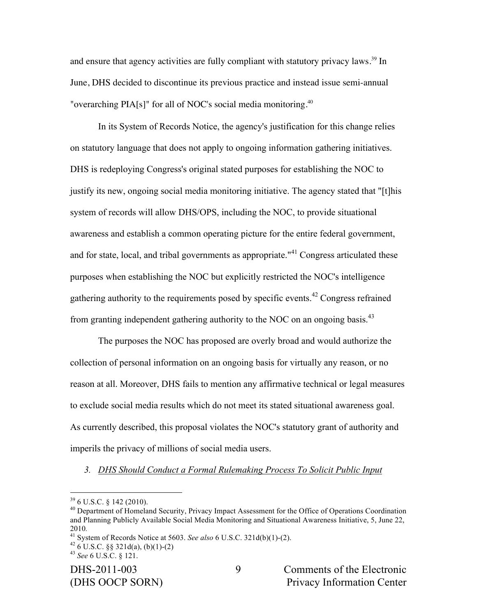and ensure that agency activities are fully compliant with statutory privacy laws.<sup>39</sup> In June, DHS decided to discontinue its previous practice and instead issue semi-annual "overarching PIA[s]" for all of NOC's social media monitoring.40

In its System of Records Notice, the agency's justification for this change relies on statutory language that does not apply to ongoing information gathering initiatives. DHS is redeploying Congress's original stated purposes for establishing the NOC to justify its new, ongoing social media monitoring initiative. The agency stated that "[t]his system of records will allow DHS/OPS, including the NOC, to provide situational awareness and establish a common operating picture for the entire federal government, and for state, local, and tribal governments as appropriate."<sup>41</sup> Congress articulated these purposes when establishing the NOC but explicitly restricted the NOC's intelligence gathering authority to the requirements posed by specific events.<sup>42</sup> Congress refrained from granting independent gathering authority to the NOC on an ongoing basis.<sup>43</sup>

The purposes the NOC has proposed are overly broad and would authorize the collection of personal information on an ongoing basis for virtually any reason, or no reason at all. Moreover, DHS fails to mention any affirmative technical or legal measures to exclude social media results which do not meet its stated situational awareness goal. As currently described, this proposal violates the NOC's statutory grant of authority and imperils the privacy of millions of social media users.

### *3. DHS Should Conduct a Formal Rulemaking Process To Solicit Public Input*

 $39$  6 U.S.C. § 142 (2010).<br><sup>40</sup> Department of Homeland Security, Privacy Impact Assessment for the Office of Operations Coordination and Planning Publicly Available Social Media Monitoring and Situational Awareness Initiative, 5, June 22, <sup>2010</sup>*.* 41 System of Records Notice at 5603. *See also* 6 U.S.C. 321d(b)(1)-(2). 42 6 U.S.C. §§ 321d(a), (b)(1)-(2) <sup>43</sup> *See* 6 U.S.C. § 121.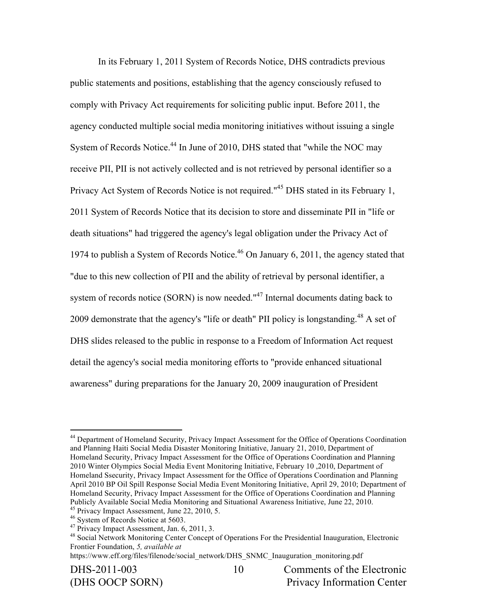In its February 1, 2011 System of Records Notice, DHS contradicts previous public statements and positions, establishing that the agency consciously refused to comply with Privacy Act requirements for soliciting public input. Before 2011, the agency conducted multiple social media monitoring initiatives without issuing a single System of Records Notice.<sup>44</sup> In June of 2010, DHS stated that "while the NOC may receive PII, PII is not actively collected and is not retrieved by personal identifier so a Privacy Act System of Records Notice is not required."<sup>45</sup> DHS stated in its February 1, 2011 System of Records Notice that its decision to store and disseminate PII in "life or death situations" had triggered the agency's legal obligation under the Privacy Act of 1974 to publish a System of Records Notice.<sup>46</sup> On January 6, 2011, the agency stated that "due to this new collection of PII and the ability of retrieval by personal identifier, a system of records notice (SORN) is now needed."<sup>47</sup> Internal documents dating back to 2009 demonstrate that the agency's "life or death" PII policy is longstanding.<sup>48</sup> A set of DHS slides released to the public in response to a Freedom of Information Act request detail the agency's social media monitoring efforts to "provide enhanced situational awareness" during preparations for the January 20, 2009 inauguration of President

<sup>&</sup>lt;sup>44</sup> Department of Homeland Security, Privacy Impact Assessment for the Office of Operations Coordination and Planning Haiti Social Media Disaster Monitoring Initiative, January 21, 2010, Department of Homeland Security, Privacy Impact Assessment for the Office of Operations Coordination and Planning 2010 Winter Olympics Social Media Event Monitoring Initiative, February 10 ,2010, Department of Homeland Ssecurity, Privacy Impact Assessment for the Office of Operations Coordination and Planning April 2010 BP Oil Spill Response Social Media Event Monitoring Initiative, April 29, 2010; Department of Homeland Security, Privacy Impact Assessment for the Office of Operations Coordination and Planning Publicly Available Social Media Monitoring and Situational Awareness Initiative, June 22, 2010.<br><sup>45</sup> Privacy Impact Assessment, June 22, 2010, 5.<br><sup>46</sup> System of Records Notice at 5603.<br><sup>47</sup> Privacy Impact Assessment, Jan.

<sup>&</sup>lt;sup>48</sup> Social Network Monitoring Center Concept of Operations For the Presidential Inauguration, Electronic Frontier Foundation, *5, available at* 

https://www.eff.org/files/filenode/social\_network/DHS\_SNMC\_Inauguration\_monitoring.pdf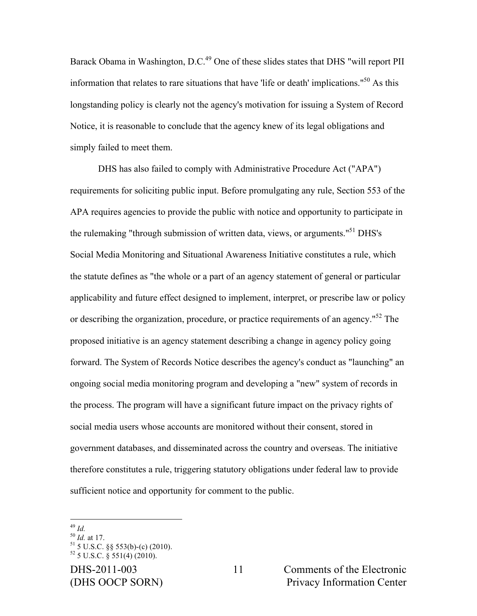Barack Obama in Washington, D.C.<sup>49</sup> One of these slides states that DHS "will report PII information that relates to rare situations that have 'life or death' implications."<sup>50</sup> As this longstanding policy is clearly not the agency's motivation for issuing a System of Record Notice, it is reasonable to conclude that the agency knew of its legal obligations and simply failed to meet them.

DHS has also failed to comply with Administrative Procedure Act ("APA") requirements for soliciting public input. Before promulgating any rule, Section 553 of the APA requires agencies to provide the public with notice and opportunity to participate in the rulemaking "through submission of written data, views, or arguments."<sup>51</sup> DHS's Social Media Monitoring and Situational Awareness Initiative constitutes a rule, which the statute defines as "the whole or a part of an agency statement of general or particular applicability and future effect designed to implement, interpret, or prescribe law or policy or describing the organization, procedure, or practice requirements of an agency."<sup>52</sup> The proposed initiative is an agency statement describing a change in agency policy going forward. The System of Records Notice describes the agency's conduct as "launching" an ongoing social media monitoring program and developing a "new" system of records in the process. The program will have a significant future impact on the privacy rights of social media users whose accounts are monitored without their consent, stored in government databases, and disseminated across the country and overseas. The initiative therefore constitutes a rule, triggering statutory obligations under federal law to provide sufficient notice and opportunity for comment to the public.

DHS-2011-003 Comments of the Electronic (DHS OOCP SORN) Privacy Information Center

<sup>&</sup>lt;sup>49</sup> *Id.* at 17.<br><sup>51</sup> 5 U.S.C. §§ 553(b)-(c) (2010).<br><sup>52</sup> 5 U.S.C. § 551(4) (2010).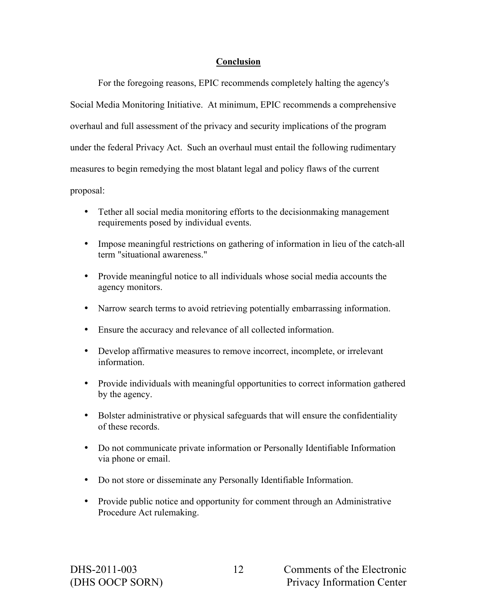# **Conclusion**

For the foregoing reasons, EPIC recommends completely halting the agency's Social Media Monitoring Initiative. At minimum, EPIC recommends a comprehensive overhaul and full assessment of the privacy and security implications of the program under the federal Privacy Act. Such an overhaul must entail the following rudimentary measures to begin remedying the most blatant legal and policy flaws of the current proposal:

- Tether all social media monitoring efforts to the decisionmaking management requirements posed by individual events.
- Impose meaningful restrictions on gathering of information in lieu of the catch-all term "situational awareness."
- Provide meaningful notice to all individuals whose social media accounts the agency monitors.
- Narrow search terms to avoid retrieving potentially embarrassing information.
- Ensure the accuracy and relevance of all collected information.
- Develop affirmative measures to remove incorrect, incomplete, or irrelevant information.
- Provide individuals with meaningful opportunities to correct information gathered by the agency.
- Bolster administrative or physical safeguards that will ensure the confidentiality of these records.
- Do not communicate private information or Personally Identifiable Information via phone or email.
- Do not store or disseminate any Personally Identifiable Information.
- Provide public notice and opportunity for comment through an Administrative Procedure Act rulemaking.

12